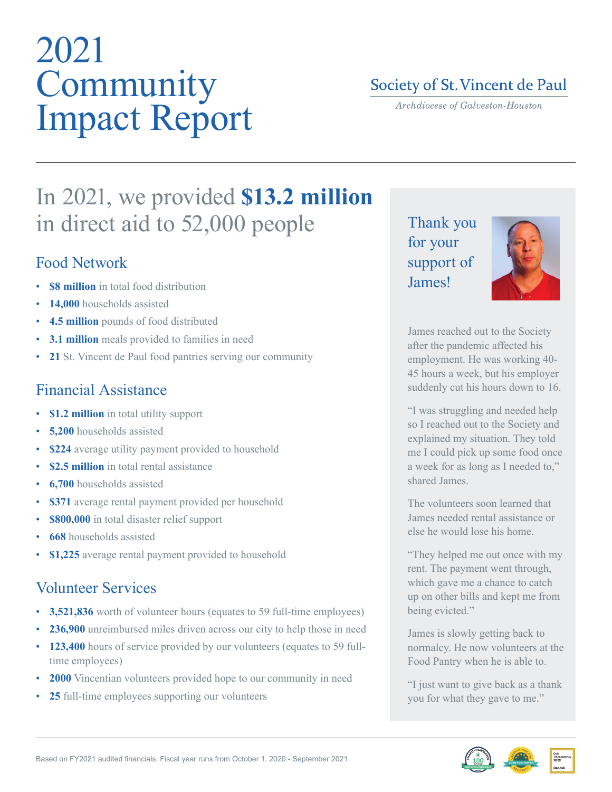# 2021 Community Impact Report

### Society of St. Vincent de Paul

Archdiocese of Galveston-Houston

## In 2021, we provided **\$13.2 million**  in direct aid to 52,000 people

#### Food Network

- **\$8 million** in total food distribution
- 14,000 households assisted
- **4.5 million** pounds of food distributed
- **3.1 million** meals provided to families in need
- **21** St. Vincent de Paul food pantries serving our community

### Financial Assistance

- **\$1.2 million** in total utility support
- **5.200** households assisted
- **\$224** average utility payment provided to household
- **\$2.5 million** in total rental assistance
- **6,700** households assisted
- **\$371** average rental payment provided per household
- **\$800,000** in total disaster relief support
- **668** households assisted
- **\$1,225** average rental payment provided to household

#### Volunteer Services

- **3,521,836** worth of volunteer hours (equates to 59 full-time employees)
- **236,900** unreimbursed miles driven across our city to help those in need
- **123,400** hours of service provided by our volunteers (equates to 59 fulltime employees)
- **2000** Vincentian volunteers provided hope to our community in need
- **25** full-time employees supporting our volunteers

Thank you for your support of *<u>Iames!</u>* 



James reached out to the Society after the pandemic affected his employment. He was working 40- 45 hours a week, but his employer suddenly cut his hours down to 16.

"I was struggling and needed help so I reached out to the Society and explained my situation. They told me I could pick up some food once a week for as long as I needed to," shared James.

The volunteers soon learned that James needed rental assistance or else he would lose his home.

"They helped me out once with my rent. The payment went through, which gave me a chance to catch up on other bills and kept me from being evicted."

James is slowly getting back to normalcy. He now volunteers at the Food Pantry when he is able to.

"I just want to give back as a thank you for what they gave to me."